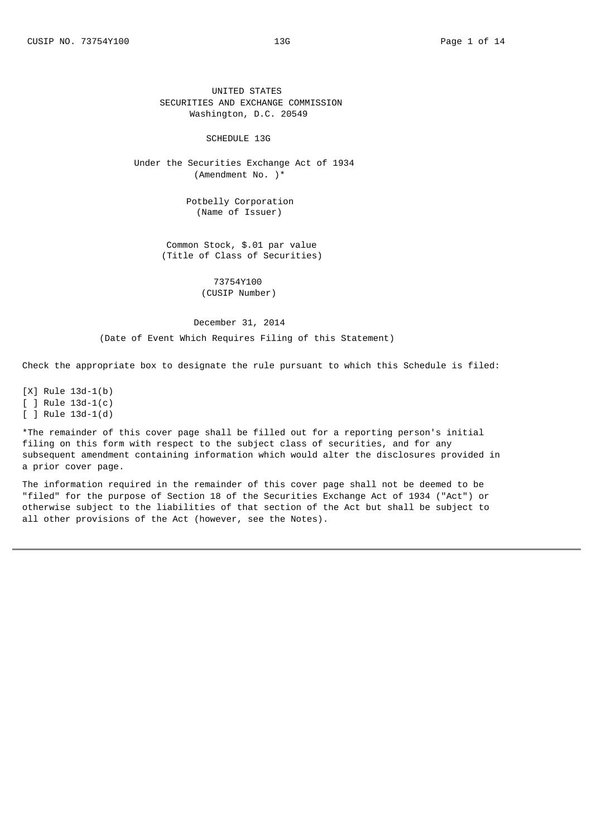### SCHEDULE 13G

Under the Securities Exchange Act of 1934 (Amendment No. )\*

> Potbelly Corporation (Name of Issuer)

Common Stock, \$.01 par value (Title of Class of Securities)

> 73754Y100 (CUSIP Number)

## December 31, 2014

(Date of Event Which Requires Filing of this Statement)

Check the appropriate box to designate the rule pursuant to which this Schedule is filed:

 $[X]$  Rule 13d-1(b)  $[ ]$  Rule 13d-1(c)  $[ ]$  Rule 13d-1(d)

\*The remainder of this cover page shall be filled out for a reporting person's initial filing on this form with respect to the subject class of securities, and for any subsequent amendment containing information which would alter the disclosures provided in a prior cover page.

The information required in the remainder of this cover page shall not be deemed to be "filed" for the purpose of Section 18 of the Securities Exchange Act of 1934 ("Act") or otherwise subject to the liabilities of that section of the Act but shall be subject to all other provisions of the Act (however, see the Notes).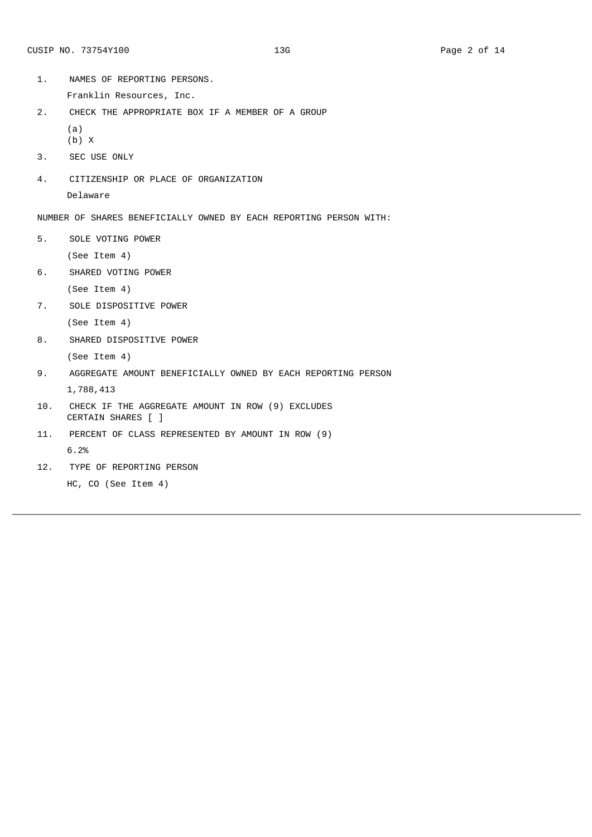- 1. NAMES OF REPORTING PERSONS.
	- Franklin Resources, Inc.
- 2. CHECK THE APPROPRIATE BOX IF A MEMBER OF A GROUP (a)
	- (b) X
- 3. SEC USE ONLY
- 4. CITIZENSHIP OR PLACE OF ORGANIZATION Delaware

5. SOLE VOTING POWER

(See Item 4)

6. SHARED VOTING POWER

```
(See Item 4)
```
7. SOLE DISPOSITIVE POWER

(See Item 4)

8. SHARED DISPOSITIVE POWER

(See Item 4)

- 9. AGGREGATE AMOUNT BENEFICIALLY OWNED BY EACH REPORTING PERSON 1,788,413
- 10. CHECK IF THE AGGREGATE AMOUNT IN ROW (9) EXCLUDES CERTAIN SHARES [ ]
- 11. PERCENT OF CLASS REPRESENTED BY AMOUNT IN ROW (9) 6.2%
- 12. TYPE OF REPORTING PERSON

HC, CO (See Item 4)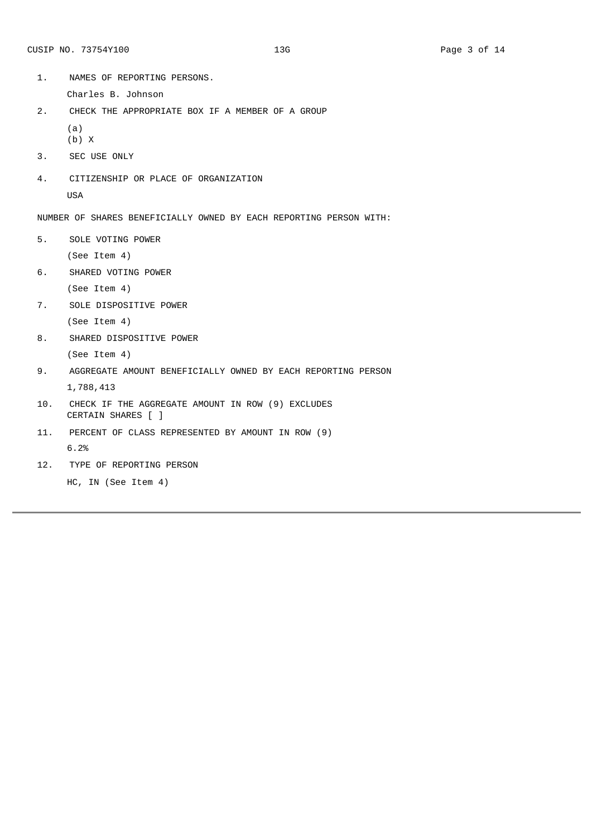- 1. NAMES OF REPORTING PERSONS.
	- Charles B. Johnson
- 2. CHECK THE APPROPRIATE BOX IF A MEMBER OF A GROUP (a)
	- (b) X
- 3. SEC USE ONLY
- 4. CITIZENSHIP OR PLACE OF ORGANIZATION USA

5. SOLE VOTING POWER

(See Item 4)

6. SHARED VOTING POWER

```
(See Item 4)
```
7. SOLE DISPOSITIVE POWER

(See Item 4)

8. SHARED DISPOSITIVE POWER

(See Item 4)

9. AGGREGATE AMOUNT BENEFICIALLY OWNED BY EACH REPORTING PERSON

1,788,413

- 10. CHECK IF THE AGGREGATE AMOUNT IN ROW (9) EXCLUDES CERTAIN SHARES [ ]
- 11. PERCENT OF CLASS REPRESENTED BY AMOUNT IN ROW (9)

6.2%

12. TYPE OF REPORTING PERSON

```
HC, IN (See Item 4)
```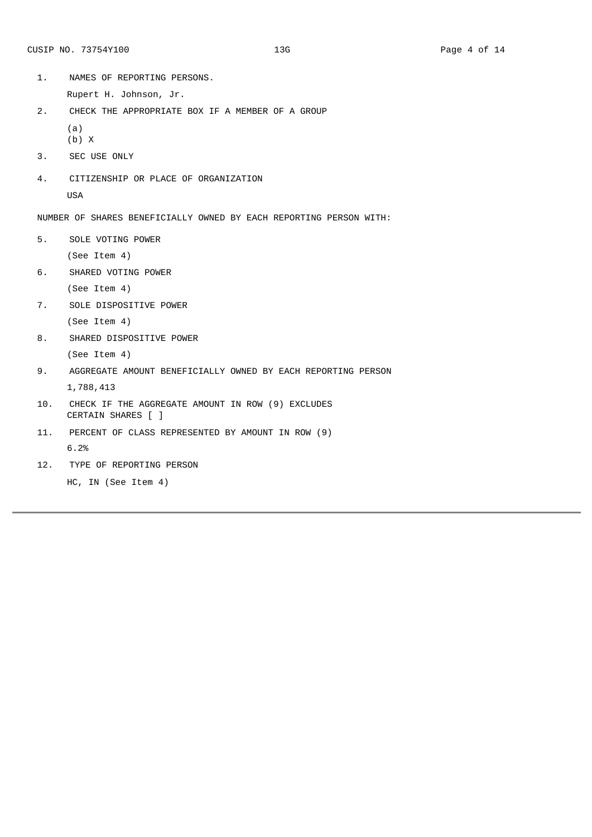- 1. NAMES OF REPORTING PERSONS.
	- Rupert H. Johnson, Jr.
- 2. CHECK THE APPROPRIATE BOX IF A MEMBER OF A GROUP (a)
	- (b) X
- 3. SEC USE ONLY
- 4. CITIZENSHIP OR PLACE OF ORGANIZATION USA

5. SOLE VOTING POWER

(See Item 4)

6. SHARED VOTING POWER

```
(See Item 4)
```
7. SOLE DISPOSITIVE POWER

(See Item 4)

8. SHARED DISPOSITIVE POWER

(See Item 4)

9. AGGREGATE AMOUNT BENEFICIALLY OWNED BY EACH REPORTING PERSON

1,788,413

- 10. CHECK IF THE AGGREGATE AMOUNT IN ROW (9) EXCLUDES CERTAIN SHARES [ ]
- 11. PERCENT OF CLASS REPRESENTED BY AMOUNT IN ROW (9)

6.2%

12. TYPE OF REPORTING PERSON

```
HC, IN (See Item 4)
```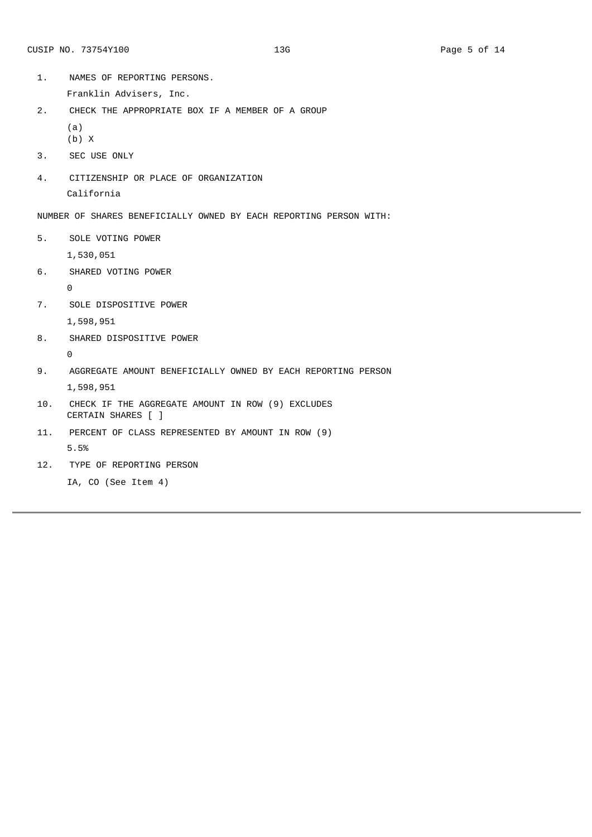- 1. NAMES OF REPORTING PERSONS.
	- Franklin Advisers, Inc.
- 2. CHECK THE APPROPRIATE BOX IF A MEMBER OF A GROUP (a)
	- (b) X
- 3. SEC USE ONLY
- 4. CITIZENSHIP OR PLACE OF ORGANIZATION California

5. SOLE VOTING POWER

1,530,051

6. SHARED VOTING POWER

 $\Theta$ 

7. SOLE DISPOSITIVE POWER

1,598,951

8. SHARED DISPOSITIVE POWER

 $\Theta$ 

- 9. AGGREGATE AMOUNT BENEFICIALLY OWNED BY EACH REPORTING PERSON 1,598,951
- 10. CHECK IF THE AGGREGATE AMOUNT IN ROW (9) EXCLUDES CERTAIN SHARES [ ]
- 11. PERCENT OF CLASS REPRESENTED BY AMOUNT IN ROW (9) 5.5%
- 12. TYPE OF REPORTING PERSON
	- IA, CO (See Item 4)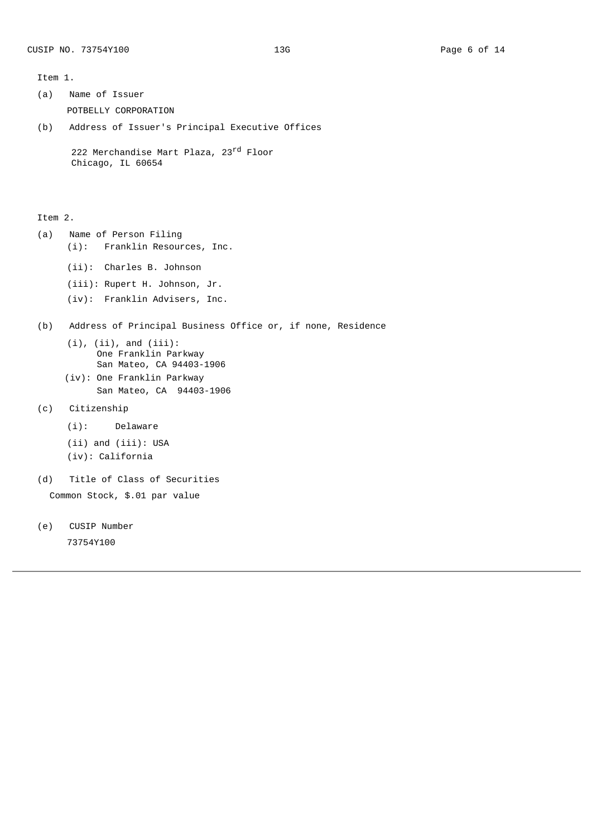Item 1.

- (a) Name of Issuer POTBELLY CORPORATION
- (b) Address of Issuer's Principal Executive Offices

```
222 Merchandise Mart Plaza, 23<sup>rd</sup> Floor
Chicago, IL 60654
```
Item 2.

- (a) Name of Person Filing (i): Franklin Resources, Inc.
	- (ii): Charles B. Johnson
	- (iii): Rupert H. Johnson, Jr.
	- (iv): Franklin Advisers, Inc.
- (b) Address of Principal Business Office or, if none, Residence
	- $(i)$ ,  $(ii)$ , and  $(iii)$ : One Franklin Parkway San Mateo, CA 94403-1906
	- (iv): One Franklin Parkway San Mateo, CA 94403-1906
- (c) Citizenship
	- (i): Delaware
	- (ii) and (iii): USA
	- (iv): California
- (d) Title of Class of Securities Common Stock, \$.01 par value
- (e) CUSIP Number 73754Y100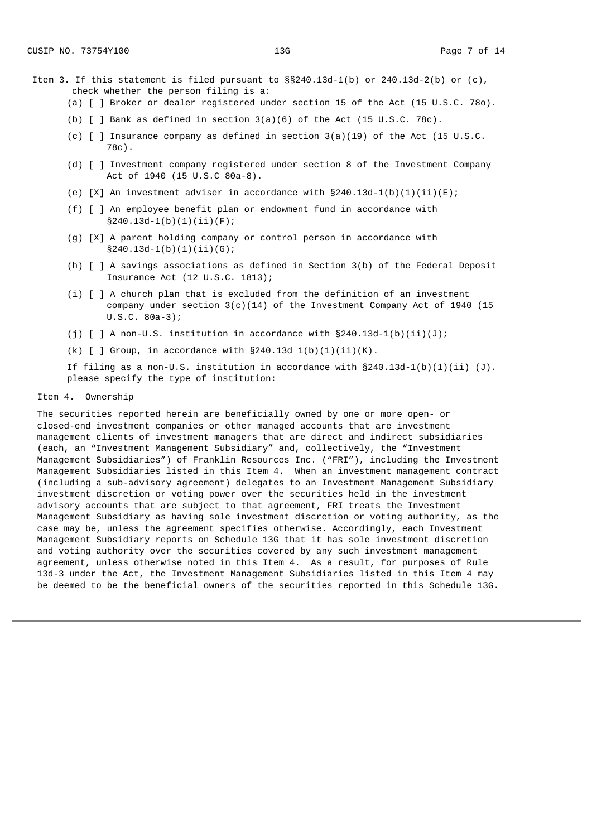- Item 3. If this statement is filed pursuant to  $\S240.13d-1(b)$  or 240.13d-2(b) or (c), check whether the person filing is a:
	- (a) [ ] Broker or dealer registered under section 15 of the Act (15 U.S.C. 78o).
	- (b)  $\lceil$  ] Bank as defined in section 3(a)(6) of the Act (15 U.S.C. 78c).
	- (c) [ ] Insurance company as defined in section 3(a)(19) of the Act (15 U.S.C. 78c).
	- (d) [ ] Investment company registered under section 8 of the Investment Company Act of 1940 (15 U.S.C 80a-8).
	- (e)  $[X]$  An investment adviser in accordance with  $\S240.13d-1(b)(1)(ii)(E)$ ;
	- (f) [ ] An employee benefit plan or endowment fund in accordance with  $§240.13d - 1(b)(1)(ii)(F);$
	- (g) [X] A parent holding company or control person in accordance with  $§240.13d-1(b)(1)(ii)(G);$
	- (h) [ ] A savings associations as defined in Section 3(b) of the Federal Deposit Insurance Act (12 U.S.C. 1813);
	- (i) [ ] A church plan that is excluded from the definition of an investment company under section  $3(c)(14)$  of the Investment Company Act of 1940 (15 U.S.C. 80a‑3);
	- (i)  $\lceil$  | A non-U.S. institution in accordance with  $\S240.13d 1(b)(ii)(J);$
	- (k)  $\lceil$   $\rceil$  Group, in accordance with §240.13d 1(b)(1)(ii)(K).

If filing as a non-U.S. institution in accordance with  $§240.13d-1(b)(1)(ii)$  (J). please specify the type of institution:

## Item 4. Ownership

The securities reported herein are beneficially owned by one or more open- or closed‑end investment companies or other managed accounts that are investment management clients of investment managers that are direct and indirect subsidiaries (each, an "Investment Management Subsidiary" and, collectively, the "Investment Management Subsidiaries") of Franklin Resources Inc. ("FRI"), including the Investment Management Subsidiaries listed in this Item 4. When an investment management contract (including a sub‑advisory agreement) delegates to an Investment Management Subsidiary investment discretion or voting power over the securities held in the investment advisory accounts that are subject to that agreement, FRI treats the Investment Management Subsidiary as having sole investment discretion or voting authority, as the case may be, unless the agreement specifies otherwise. Accordingly, each Investment Management Subsidiary reports on Schedule 13G that it has sole investment discretion and voting authority over the securities covered by any such investment management agreement, unless otherwise noted in this Item 4. As a result, for purposes of Rule 13d-3 under the Act, the Investment Management Subsidiaries listed in this Item 4 may be deemed to be the beneficial owners of the securities reported in this Schedule 13G.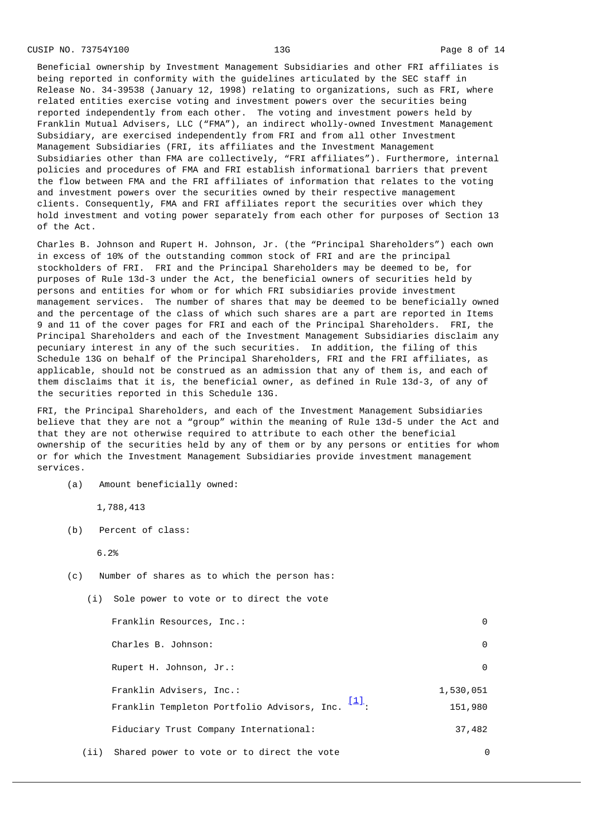CUSIP NO. 73754Y100 13G 13G 2001 13G 2002 13G 2002 13G 2003 14

Beneficial ownership by Investment Management Subsidiaries and other FRI affiliates is being reported in conformity with the guidelines articulated by the SEC staff in Release No. 34‑39538 (January 12, 1998) relating to organizations, such as FRI, where related entities exercise voting and investment powers over the securities being reported independently from each other. The voting and investment powers held by Franklin Mutual Advisers, LLC ("FMA"), an indirect wholly-owned Investment Management Subsidiary, are exercised independently from FRI and from all other Investment Management Subsidiaries (FRI, its affiliates and the Investment Management Subsidiaries other than FMA are collectively, "FRI affiliates"). Furthermore, internal policies and procedures of FMA and FRI establish informational barriers that prevent the flow between FMA and the FRI affiliates of information that relates to the voting and investment powers over the securities owned by their respective management clients. Consequently, FMA and FRI affiliates report the securities over which they hold investment and voting power separately from each other for purposes of Section 13 of the Act.

Charles B. Johnson and Rupert H. Johnson, Jr. (the "Principal Shareholders") each own in excess of 10% of the outstanding common stock of FRI and are the principal stockholders of FRI. FRI and the Principal Shareholders may be deemed to be, for purposes of Rule 13d‑3 under the Act, the beneficial owners of securities held by persons and entities for whom or for which FRI subsidiaries provide investment management services. The number of shares that may be deemed to be beneficially owned and the percentage of the class of which such shares are a part are reported in Items 9 and 11 of the cover pages for FRI and each of the Principal Shareholders. FRI, the Principal Shareholders and each of the Investment Management Subsidiaries disclaim any pecuniary interest in any of the such securities. In addition, the filing of this Schedule 13G on behalf of the Principal Shareholders, FRI and the FRI affiliates, as applicable, should not be construed as an admission that any of them is, and each of them disclaims that it is, the beneficial owner, as defined in Rule 13d-3, of any of the securities reported in this Schedule 13G.

FRI, the Principal Shareholders, and each of the Investment Management Subsidiaries believe that they are not a "group" within the meaning of Rule 13d-5 under the Act and that they are not otherwise required to attribute to each other the beneficial ownership of the securities held by any of them or by any persons or entities for whom or for which the Investment Management Subsidiaries provide investment management services.

(a) Amount beneficially owned:

1,788,413

(b) Percent of class:

6.2%

(c) Number of shares as to which the person has:

<span id="page-7-0"></span>(i) Sole power to vote or to direct the vote

Franklin Resources, Inc.: 0 Charles B. Johnson: 0 Rupert H. Johnson, Jr.: 0 Franklin Advisers, Inc.: 1,530,051 Franklin Templeton Portfolio Advisors, Inc.  $\overline{[1]}$  $\overline{[1]}$  $\overline{[1]}$ : 151,980 Fiduciary Trust Company International: 37,482 (ii) Shared power to vote or to direct the vote 0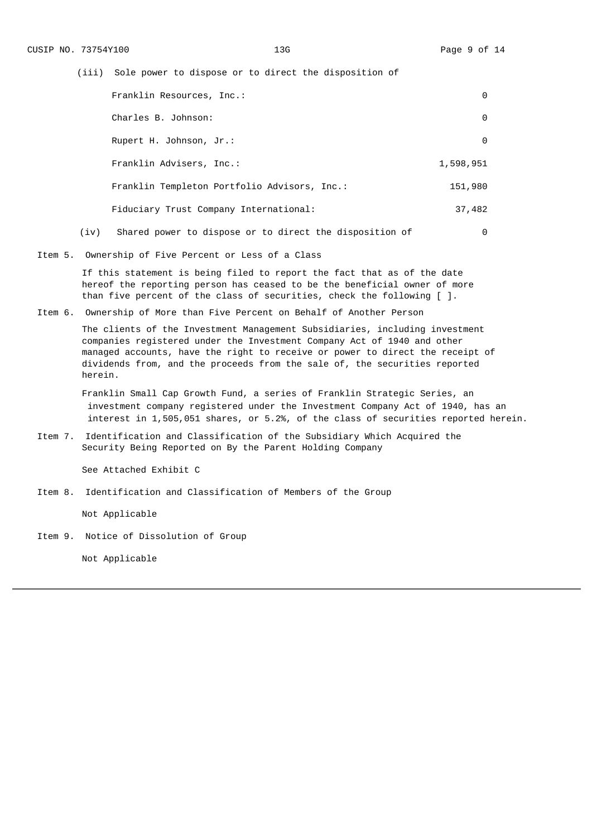(iii) Sole power to dispose or to direct the disposition of

|      | Franklin Resources, Inc.:                               | 0         |
|------|---------------------------------------------------------|-----------|
|      | Charles B. Johnson:                                     | $\Theta$  |
|      | Rupert H. Johnson, Jr.:                                 | $\Theta$  |
|      | Franklin Advisers, Inc.:                                | 1,598,951 |
|      | Franklin Templeton Portfolio Advisors, Inc.:            | 151,980   |
|      | Fiduciary Trust Company International:                  | 37,482    |
| (iv) | Shared power to dispose or to direct the disposition of | 0         |

Item 5. Ownership of Five Percent or Less of a Class

If this statement is being filed to report the fact that as of the date hereof the reporting person has ceased to be the beneficial owner of more than five percent of the class of securities, check the following  $[ ] .$ 

Item 6. Ownership of More than Five Percent on Behalf of Another Person

The clients of the Investment Management Subsidiaries, including investment companies registered under the Investment Company Act of 1940 and other managed accounts, have the right to receive or power to direct the receipt of dividends from, and the proceeds from the sale of, the securities reported herein.

Franklin Small Cap Growth Fund, a series of Franklin Strategic Series, an investment company registered under the Investment Company Act of 1940, has an interest in 1,505,051 shares, or 5.2%, of the class of securities reported herein.

Item 7. Identification and Classification of the Subsidiary Which Acquired the Security Being Reported on By the Parent Holding Company

See Attached Exhibit C

Item 8. Identification and Classification of Members of the Group

Not Applicable

Item 9. Notice of Dissolution of Group

Not Applicable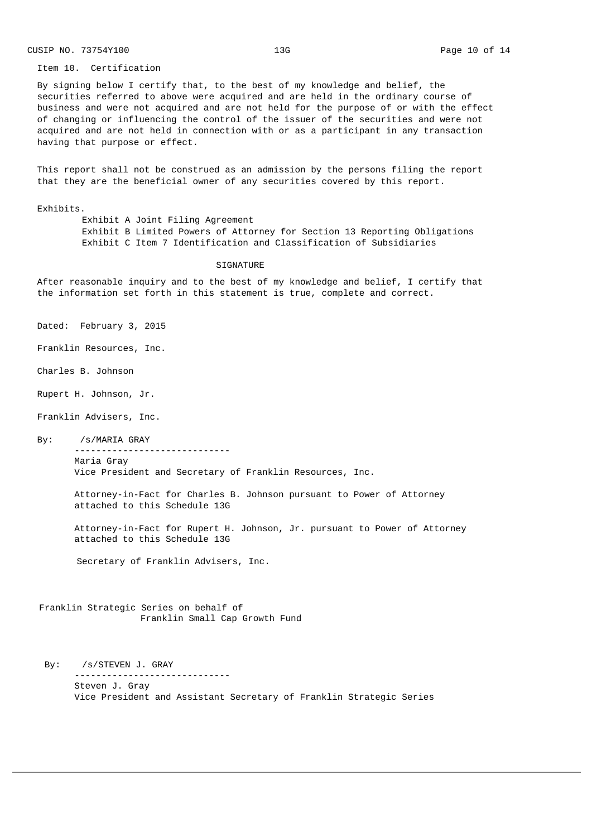Item 10. Certification

By signing below I certify that, to the best of my knowledge and belief, the securities referred to above were acquired and are held in the ordinary course of business and were not acquired and are not held for the purpose of or with the effect of changing or influencing the control of the issuer of the securities and were not acquired and are not held in connection with or as a participant in any transaction having that purpose or effect.

This report shall not be construed as an admission by the persons filing the report that they are the beneficial owner of any securities covered by this report.

Exhibits.

Exhibit A Joint Filing Agreement Exhibit B Limited Powers of Attorney for Section 13 Reporting Obligations Exhibit C Item 7 Identification and Classification of Subsidiaries

#### SIGNATURE

After reasonable inquiry and to the best of my knowledge and belief, I certify that the information set forth in this statement is true, complete and correct.

Dated: February 3, 2015

Franklin Resources, Inc.

Charles B. Johnson

Rupert H. Johnson, Jr.

Franklin Advisers, Inc.

By: /s/MARIA GRAY ‑‑‑‑‑‑‑‑‑‑‑‑‑‑‑‑‑‑‑‑‑‑‑‑‑‑‑‑‑

Maria Gray Vice President and Secretary of Franklin Resources, Inc.

Attorney-in-Fact for Charles B. Johnson pursuant to Power of Attorney attached to this Schedule 13G

Attorney‑in‑Fact for Rupert H. Johnson, Jr. pursuant to Power of Attorney attached to this Schedule 13G

Secretary of Franklin Advisers, Inc.

Franklin Strategic Series on behalf of Franklin Small Cap Growth Fund

By: /s/STEVEN J. GRAY ‑‑‑‑‑‑‑‑‑‑‑‑‑‑‑‑‑‑‑‑‑‑‑‑‑‑‑‑‑ Steven J. Gray Vice President and Assistant Secretary of Franklin Strategic Series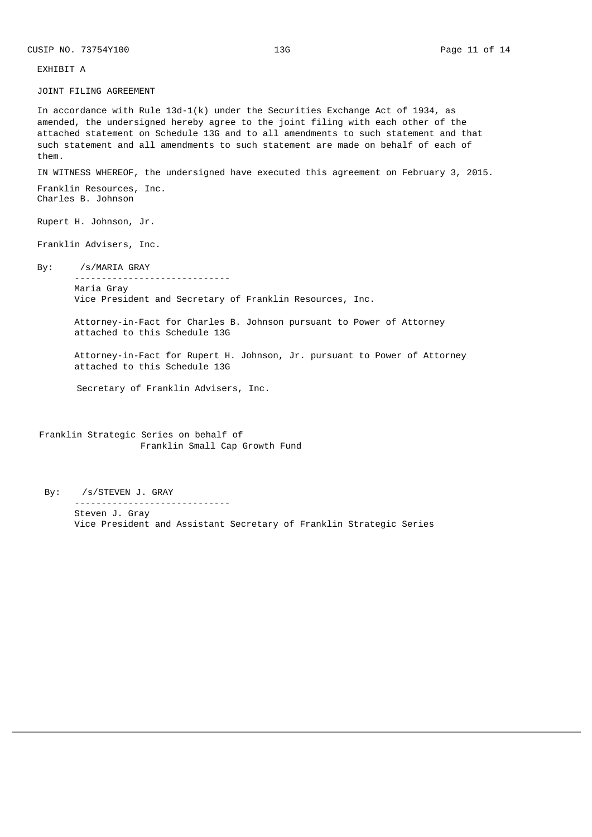EXHIBIT A

JOINT FILING AGREEMENT

In accordance with Rule  $13d-1(k)$  under the Securities Exchange Act of 1934, as amended, the undersigned hereby agree to the joint filing with each other of the attached statement on Schedule 13G and to all amendments to such statement and that such statement and all amendments to such statement are made on behalf of each of them.

IN WITNESS WHEREOF, the undersigned have executed this agreement on February 3, 2015.

Franklin Resources, Inc. Charles B. Johnson

Rupert H. Johnson, Jr.

Franklin Advisers, Inc.

By: /s/MARIA GRAY

‑‑‑‑‑‑‑‑‑‑‑‑‑‑‑‑‑‑‑‑‑‑‑‑‑‑‑‑‑ Maria Gray Vice President and Secretary of Franklin Resources, Inc.

Attorney-in-Fact for Charles B. Johnson pursuant to Power of Attorney attached to this Schedule 13G

Attorney‑in‑Fact for Rupert H. Johnson, Jr. pursuant to Power of Attorney attached to this Schedule 13G

Secretary of Franklin Advisers, Inc.

Franklin Strategic Series on behalf of Franklin Small Cap Growth Fund

By: /s/STEVEN J. GRAY ‑‑‑‑‑‑‑‑‑‑‑‑‑‑‑‑‑‑‑‑‑‑‑‑‑‑‑‑‑ Steven J. Gray Vice President and Assistant Secretary of Franklin Strategic Series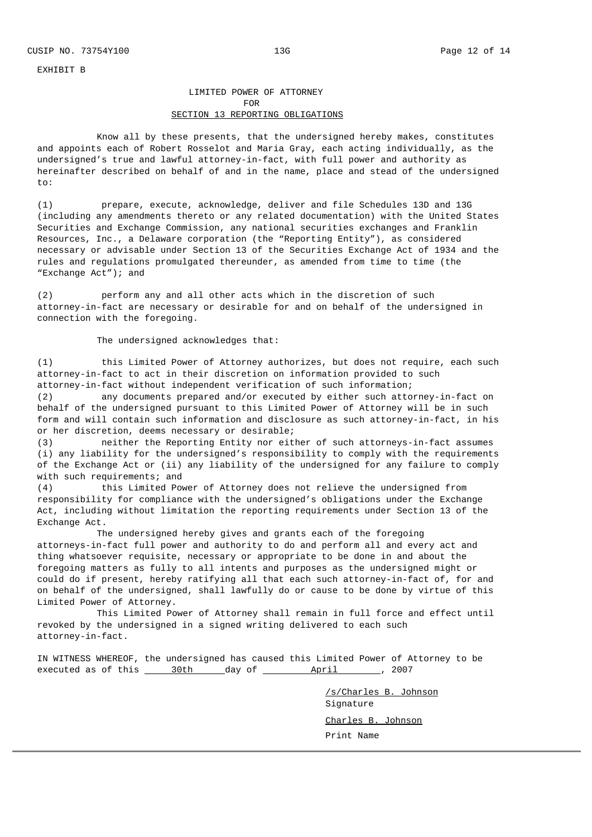EXHIBIT B

# LIMITED POWER OF ATTORNEY FOR SECTION 13 REPORTING OBLIGATIONS

Know all by these presents, that the undersigned hereby makes, constitutes and appoints each of Robert Rosselot and Maria Gray, each acting individually, as the undersigned's true and lawful attorney-in-fact, with full power and authority as hereinafter described on behalf of and in the name, place and stead of the undersigned to:

(1) prepare, execute, acknowledge, deliver and file Schedules 13D and 13G (including any amendments thereto or any related documentation) with the United States Securities and Exchange Commission, any national securities exchanges and Franklin Resources, Inc., a Delaware corporation (the "Reporting Entity"), as considered necessary or advisable under Section 13 of the Securities Exchange Act of 1934 and the rules and regulations promulgated thereunder, as amended from time to time (the "Exchange Act"); and

(2) perform any and all other acts which in the discretion of such attorney-in-fact are necessary or desirable for and on behalf of the undersigned in connection with the foregoing.

The undersigned acknowledges that:

(1) this Limited Power of Attorney authorizes, but does not require, each such attorney‑in‑fact to act in their discretion on information provided to such attorney-in-fact without independent verification of such information;

(2) any documents prepared and/or executed by either such attorney-in-fact on behalf of the undersigned pursuant to this Limited Power of Attorney will be in such form and will contain such information and disclosure as such attorney-in-fact, in his or her discretion, deems necessary or desirable;<br>(3) The exporting Entity nor eit

neither the Reporting Entity nor either of such attorneys-in-fact assumes (i) any liability for the undersigned's responsibility to comply with the requirements of the Exchange Act or (ii) any liability of the undersigned for any failure to comply with such requirements; and

(4) this Limited Power of Attorney does not relieve the undersigned from responsibility for compliance with the undersigned's obligations under the Exchange Act, including without limitation the reporting requirements under Section 13 of the Exchange Act.

The undersigned hereby gives and grants each of the foregoing attorneys‑in‑fact full power and authority to do and perform all and every act and thing whatsoever requisite, necessary or appropriate to be done in and about the foregoing matters as fully to all intents and purposes as the undersigned might or could do if present, hereby ratifying all that each such attorney-in-fact of, for and on behalf of the undersigned, shall lawfully do or cause to be done by virtue of this Limited Power of Attorney.

This Limited Power of Attorney shall remain in full force and effect until revoked by the undersigned in a signed writing delivered to each such attorney‑in‑fact.

IN WITNESS WHEREOF, the undersigned has caused this Limited Power of Attorney to be executed as of this 30th day of April , 2007

> /s/Charles B. Johnson Signature Charles B. Johnson Print Name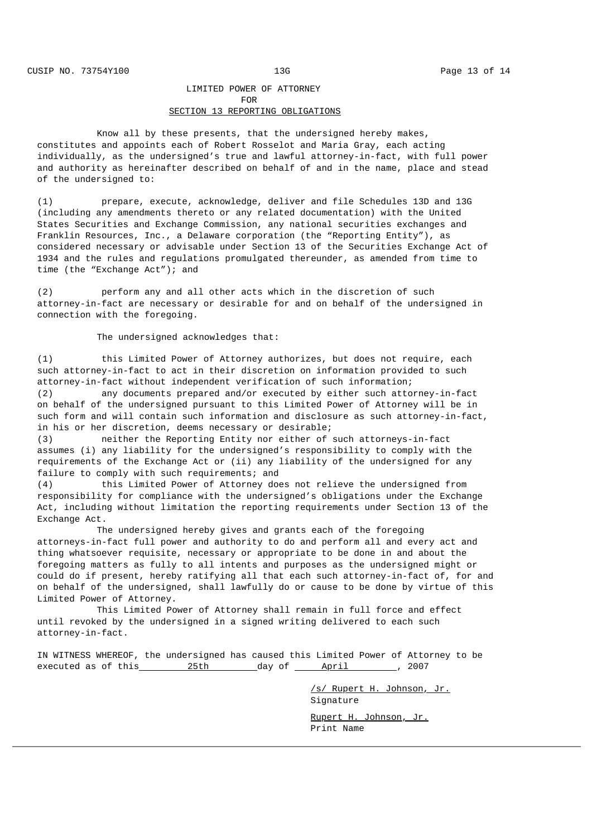## LIMITED POWER OF ATTORNEY FOR SECTION 13 REPORTING OBLIGATIONS

Know all by these presents, that the undersigned hereby makes, constitutes and appoints each of Robert Rosselot and Maria Gray, each acting individually, as the undersigned's true and lawful attorney-in-fact, with full power and authority as hereinafter described on behalf of and in the name, place and stead of the undersigned to:

(1) prepare, execute, acknowledge, deliver and file Schedules 13D and 13G (including any amendments thereto or any related documentation) with the United States Securities and Exchange Commission, any national securities exchanges and Franklin Resources, Inc., a Delaware corporation (the "Reporting Entity"), as considered necessary or advisable under Section 13 of the Securities Exchange Act of 1934 and the rules and regulations promulgated thereunder, as amended from time to time (the "Exchange Act"); and

(2) perform any and all other acts which in the discretion of such attorney-in-fact are necessary or desirable for and on behalf of the undersigned in connection with the foregoing.

The undersigned acknowledges that:

(1) this Limited Power of Attorney authorizes, but does not require, each such attorney-in-fact to act in their discretion on information provided to such attorney-in-fact without independent verification of such information;

(2) any documents prepared and/or executed by either such attorney‑in‑fact on behalf of the undersigned pursuant to this Limited Power of Attorney will be in such form and will contain such information and disclosure as such attorney-in-fact, in his or her discretion, deems necessary or desirable;

(3) neither the Reporting Entity nor either of such attorneys-in-fact assumes (i) any liability for the undersigned's responsibility to comply with the requirements of the Exchange Act or (ii) any liability of the undersigned for any failure to comply with such requirements; and

(4) this Limited Power of Attorney does not relieve the undersigned from responsibility for compliance with the undersigned's obligations under the Exchange Act, including without limitation the reporting requirements under Section 13 of the Exchange Act.

The undersigned hereby gives and grants each of the foregoing attorneys‑in‑fact full power and authority to do and perform all and every act and thing whatsoever requisite, necessary or appropriate to be done in and about the foregoing matters as fully to all intents and purposes as the undersigned might or could do if present, hereby ratifying all that each such attorney-in-fact of, for and on behalf of the undersigned, shall lawfully do or cause to be done by virtue of this Limited Power of Attorney.

This Limited Power of Attorney shall remain in full force and effect until revoked by the undersigned in a signed writing delivered to each such attorney‑in‑fact.

IN WITNESS WHEREOF, the undersigned has caused this Limited Power of Attorney to be executed as of this and  $25th$  day of April 2007

> /s/ Rupert H. Johnson, Jr. Signature

Rupert H. Johnson, Jr. Print Name